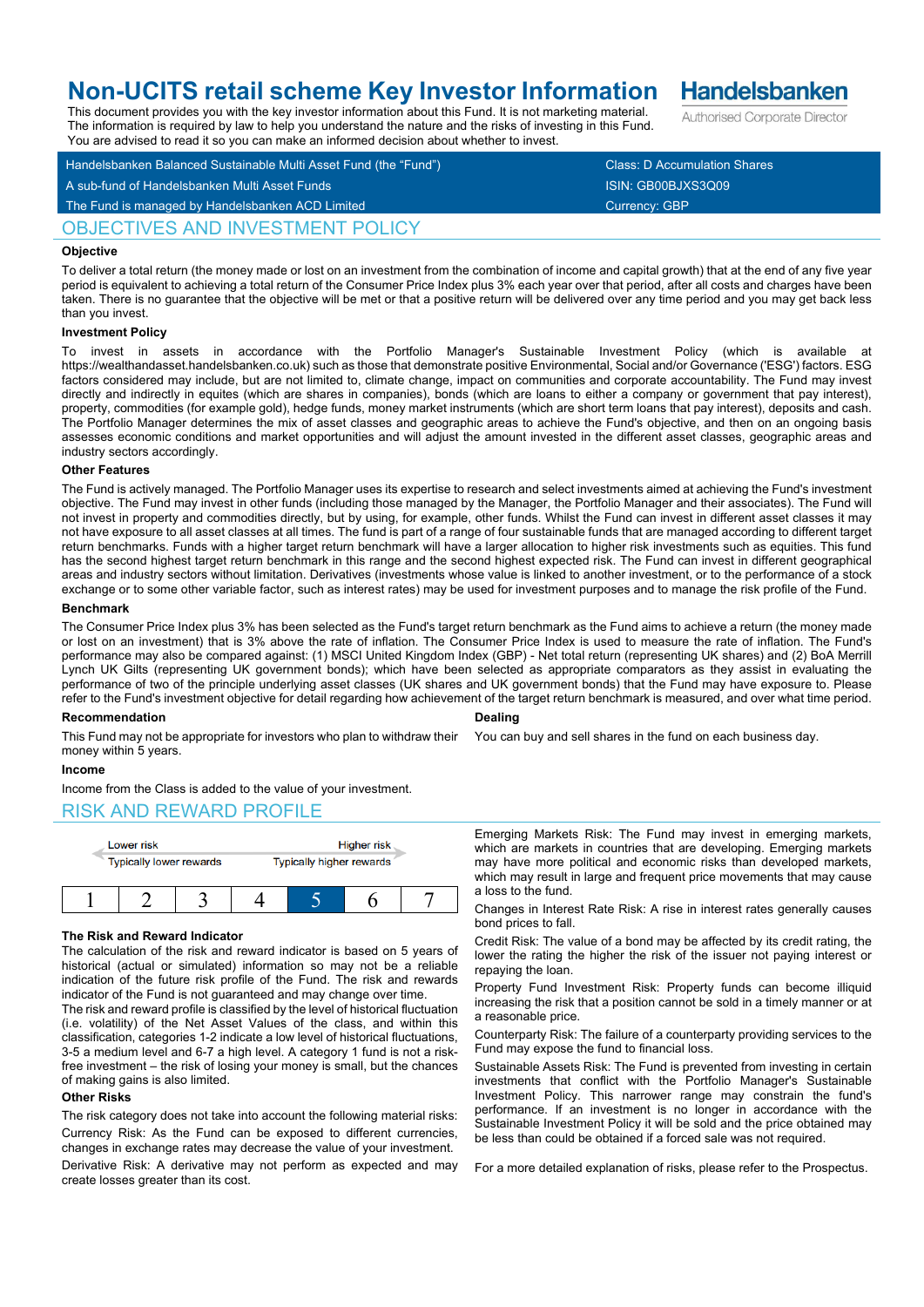# **Non-UCITS retail scheme Key Investor Information**

This document provides you with the key investor information about this Fund. It is not marketing material. The information is required by law to help you understand the nature and the risks of investing in this Fund.

Handelsbanken Balanced Sustainable Multi Asset Fund (the "Fund") Class: D Accumulation Shares A sub-fund of Handelsbanken Multi Asset Funds ISIN: GB00BJXS3Q09 You are advised to read it so you can make an informed decision about whether to invest.

## OBJECTIVES AND INVESTMENT POLICY

## **Objective**

To deliver a total return (the money made or lost on an investment from the combination of income and capital growth) that at the end of any five year period is equivalent to achieving a total return of the Consumer Price Index plus 3% each year over that period, after all costs and charges have been taken. There is no guarantee that the objective will be met or that a positive return will be delivered over any time period and you may get back less than you invest.

## **Investment Policy**

To invest in assets in accordance with the Portfolio Manager's Sustainable Investment Policy (which is available https://wealthandasset.handelsbanken.co.uk) such as those that demonstrate positive Environmental, Social and/or Governance ('ESG') factors. ESG factors considered may include, but are not limited to, climate change, impact on communities and corporate accountability. The Fund may invest directly and indirectly in equites (which are shares in companies), bonds (which are loans to either a company or government that pay interest), property, commodities (for example gold), hedge funds, money market instruments (which are short term loans that pay interest), deposits and cash. The Portfolio Manager determines the mix of asset classes and geographic areas to achieve the Fund's objective, and then on an ongoing basis assesses economic conditions and market opportunities and will adjust the amount invested in the different asset classes, geographic areas and industry sectors accordingly.

#### **Other Features**

The Fund is actively managed. The Portfolio Manager uses its expertise to research and select investments aimed at achieving the Fund's investment objective. The Fund may invest in other funds (including those managed by the Manager, the Portfolio Manager and their associates). The Fund will not invest in property and commodities directly, but by using, for example, other funds. Whilst the Fund can invest in different asset classes it may not have exposure to all asset classes at all times. The fund is part of a range of four sustainable funds that are managed according to different target return benchmarks. Funds with a higher target return benchmark will have a larger allocation to higher risk investments such as equities. This fund has the second highest target return benchmark in this range and the second highest expected risk. The Fund can invest in different geographical areas and industry sectors without limitation. Derivatives (investments whose value is linked to another investment, or to the performance of a stock exchange or to some other variable factor, such as interest rates) may be used for investment purposes and to manage the risk profile of the Fund.

#### **Benchmark**

The Consumer Price Index plus 3% has been selected as the Fund's target return benchmark as the Fund aims to achieve a return (the money made or lost on an investment) that is 3% above the rate of inflation. The Consumer Price Index is used to measure the rate of inflation. The Fund's performance may also be compared against: (1) MSCI United Kingdom Index (GBP) - Net total return (representing UK shares) and (2) BoA Merrill Lynch UK Gilts (representing UK government bonds); which have been selected as appropriate comparators as they assist in evaluating the performance of two of the principle underlying asset classes (UK shares and UK government bonds) that the Fund may have exposure to. Please refer to the Fund's investment objective for detail regarding how achievement of the target return benchmark is measured, and over what time period.

## **Recommendation**

**Dealing**

You can buy and sell shares in the fund on each business day.

## money within 5 years.

## **Income**

Income from the Class is added to the value of your investment.

## RISK AND REWARD PROFILE



This Fund may not be appropriate for investors who plan to withdraw their

## **The Risk and Reward Indicator**

The calculation of the risk and reward indicator is based on 5 years of historical (actual or simulated) information so may not be a reliable indication of the future risk profile of the Fund. The risk and rewards indicator of the Fund is not guaranteed and may change over time.

The risk and reward profile is classified by the level of historical fluctuation (i.e. volatility) of the Net Asset Values of the class, and within this classification, categories 1-2 indicate a low level of historical fluctuations, 3-5 a medium level and 6-7 a high level. A category 1 fund is not a riskfree investment – the risk of losing your money is small, but the chances of making gains is also limited.

## **Other Risks**

The risk category does not take into account the following material risks: Currency Risk: As the Fund can be exposed to different currencies, changes in exchange rates may decrease the value of your investment.

Derivative Risk: A derivative may not perform as expected and may create losses greater than its cost.

Emerging Markets Risk: The Fund may invest in emerging markets, which are markets in countries that are developing. Emerging markets may have more political and economic risks than developed markets, which may result in large and frequent price movements that may cause a loss to the fund.

Changes in Interest Rate Risk: A rise in interest rates generally causes bond prices to fall.

Credit Risk: The value of a bond may be affected by its credit rating, the lower the rating the higher the risk of the issuer not paying interest or repaying the loan.

Property Fund Investment Risk: Property funds can become illiquid increasing the risk that a position cannot be sold in a timely manner or at a reasonable price.

Counterparty Risk: The failure of a counterparty providing services to the Fund may expose the fund to financial loss.

Sustainable Assets Risk: The Fund is prevented from investing in certain investments that conflict with the Portfolio Manager's Sustainable Investment Policy. This narrower range may constrain the fund's performance. If an investment is no longer in accordance with the Sustainable Investment Policy it will be sold and the price obtained may be less than could be obtained if a forced sale was not required.

For a more detailed explanation of risks, please refer to the Prospectus.

**Handelsbanken** Authorised Corporate Director

The Fund is managed by Handelsbanken ACD Limited Currency: GBP Currency: GBP